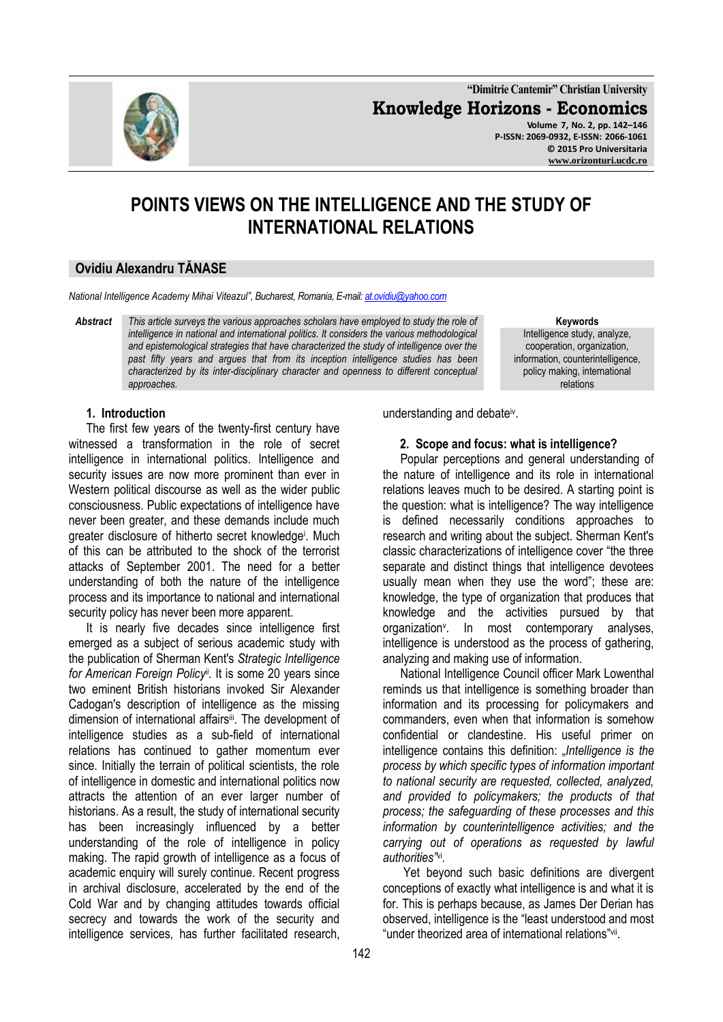

**"Dimitrie Cantemir" Christian University Knowledge Horizons - Economics Volume 7, No. 2, pp. 142–146 P-ISSN: 2069-0932, E-ISSN: 2066-1061 © 2015 Pro Universitaria [www.orizonturi.ucdc.ro](http://www.orizonturi.ucdc.ro/)**

# **POINTS VIEWS ON THE INTELLIGENCE AND THE STUDY OF INTERNATIONAL RELATIONS**

# **Ovidiu Alexandru TĂNASE**

*National Intelligence Academy Mihai Viteazul", Bucharest, Romania, E-mail[: at.ovidiu@yahoo.com](mailto:at.ovidiu@yahoo.com)*

*Abstract This article surveys the various approaches scholars have employed to study the role of intelligence in national and international politics. It considers the various methodological and epistemological strategies that have characterized the study of intelligence over the past fifty years and argues that from its inception intelligence studies has been characterized by its inter-disciplinary character and openness to different conceptual approaches.*

**Keywords**

Intelligence study, analyze, cooperation, organization, information, counterintelligence, policy making, international relations

## **1. Introduction**

The first few years of the twenty-first century have witnessed a transformation in the role of secret intelligence in international politics. Intelligence and security issues are now more prominent than ever in Western political discourse as well as the wider public consciousness. Public expectations of intelligence have never been greater, and these demands include much greater disclosure of hitherto secret knowledge<sup>i</sup> . Much of this can be attributed to the shock of the terrorist attacks of September 2001. The need for a better understanding of both the nature of the intelligence process and its importance to national and international security policy has never been more apparent.

It is nearly five decades since intelligence first emerged as a subject of serious academic study with the publication of Sherman Kent's *Strategic Intelligence for American Foreign Policyii .* It is some 20 years since two eminent British historians invoked Sir Alexander Cadogan's description of intelligence as the missing dimension of international affairsii. The development of intelligence studies as a sub-field of international relations has continued to gather momentum ever since. Initially the terrain of political scientists, the role of intelligence in domestic and international politics now attracts the attention of an ever larger number of historians. As a result, the study of international security has been increasingly influenced by a better understanding of the role of intelligence in policy making. The rapid growth of intelligence as a focus of academic enquiry will surely continue. Recent progress in archival disclosure, accelerated by the end of the Cold War and by changing attitudes towards official secrecy and towards the work of the security and intelligence services, has further facilitated research,

understanding and debateiv.

#### **2. Scope and focus: what is intelligence?**

Popular perceptions and general understanding of the nature of intelligence and its role in international relations leaves much to be desired. A starting point is the question: what is intelligence? The way intelligence is defined necessarily conditions approaches to research and writing about the subject. Sherman Kent's classic characterizations of intelligence cover "the three separate and distinct things that intelligence devotees usually mean when they use the word"; these are: knowledge, the type of organization that produces that knowledge and the activities pursued by that organization<sup>v</sup> . In most contemporary analyses, intelligence is understood as the process of gathering, analyzing and making use of information.

National Intelligence Council officer Mark Lowenthal reminds us that intelligence is something broader than information and its processing for policymakers and commanders, even when that information is somehow confidential or clandestine. His useful primer on intelligence contains this definition: "*Intelligence is the process by which specific types of information important to national security are requested, collected, analyzed, and provided to policymakers; the products of that process; the safeguarding of these processes and this information by counterintelligence activities; and the carrying out of operations as requested by lawful authorities"*vi *.*

Yet beyond such basic definitions are divergent conceptions of exactly what intelligence is and what it is for. This is perhaps because, as James Der Derian has observed, intelligence is the "least understood and most "under theorized area of international relations"<sup>vii</sup>.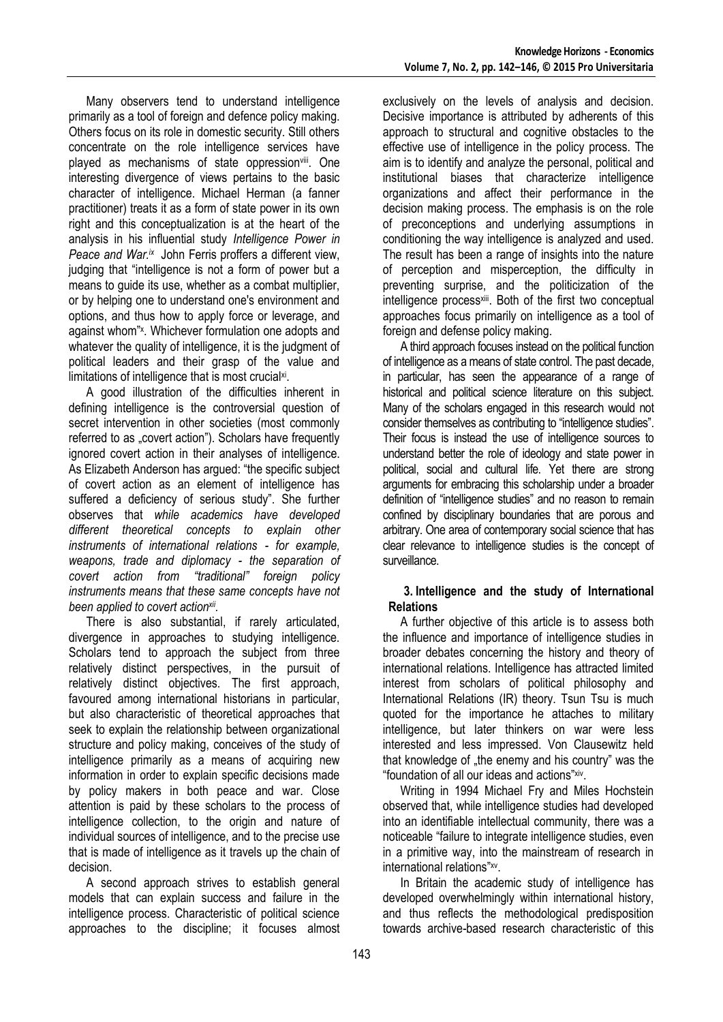Many observers tend to understand intelligence primarily as a tool of foreign and defence policy making. Others focus on its role in domestic security. Still others concentrate on the role intelligence services have played as mechanisms of state oppression<sup>viii</sup>. One interesting divergence of views pertains to the basic character of intelligence. Michael Herman (a fanner practitioner) treats it as a form of state power in its own right and this conceptualization is at the heart of the analysis in his influential study *Intelligence Power in Peace and War.ix* John Ferris proffers a different view, judging that "intelligence is not a form of power but a means to guide its use, whether as a combat multiplier, or by helping one to understand one's environment and options, and thus how to apply force or leverage, and against whom"<sup>x</sup>. Whichever formulation one adopts and whatever the quality of intelligence, it is the judgment of political leaders and their grasp of the value and limitations of intelligence that is most crucial<sup>xi</sup>.

A good illustration of the difficulties inherent in defining intelligence is the controversial question of secret intervention in other societies (most commonly referred to as "covert action"). Scholars have frequently ignored covert action in their analyses of intelligence. As Elizabeth Anderson has argued: "the specific subject of covert action as an element of intelligence has suffered a deficiency of serious study". She further observes that *while academics have developed different theoretical concepts to explain other instruments of international relations - for example, weapons, trade and diplomacy - the separation of covert action from "traditional" foreign policy instruments means that these same concepts have not been applied to covert actionxii .*

There is also substantial, if rarely articulated, divergence in approaches to studying intelligence. Scholars tend to approach the subject from three relatively distinct perspectives, in the pursuit of relatively distinct objectives. The first approach, favoured among international historians in particular, but also characteristic of theoretical approaches that seek to explain the relationship between organizational structure and policy making, conceives of the study of intelligence primarily as a means of acquiring new information in order to explain specific decisions made by policy makers in both peace and war. Close attention is paid by these scholars to the process of intelligence collection, to the origin and nature of individual sources of intelligence, and to the precise use that is made of intelligence as it travels up the chain of decision.

A second approach strives to establish general models that can explain success and failure in the intelligence process. Characteristic of political science approaches to the discipline; it focuses almost exclusively on the levels of analysis and decision. Decisive importance is attributed by adherents of this approach to structural and cognitive obstacles to the effective use of intelligence in the policy process. The aim is to identify and analyze the personal, political and institutional biases that characterize intelligence organizations and affect their performance in the decision making process. The emphasis is on the role of preconceptions and underlying assumptions in conditioning the way intelligence is analyzed and used. The result has been a range of insights into the nature of perception and misperception, the difficulty in preventing surprise, and the politicization of the intelligence processxiii. Both of the first two conceptual approaches focus primarily on intelligence as a tool of foreign and defense policy making.

A third approach focuses instead on the political function of intelligence as a means of state control. The past decade, in particular, has seen the appearance of a range of historical and political science literature on this subject. Many of the scholars engaged in this research would not consider themselves as contributing to "intelligence studies". Their focus is instead the use of intelligence sources to understand better the role of ideology and state power in political, social and cultural life. Yet there are strong arguments for embracing this scholarship under a broader definition of "intelligence studies" and no reason to remain confined by disciplinary boundaries that are porous and arbitrary. One area of contemporary social science that has clear relevance to intelligence studies is the concept of surveillance.

## **3. Intelligence and the study of International Relations**

A further objective of this article is to assess both the influence and importance of intelligence studies in broader debates concerning the history and theory of international relations. Intelligence has attracted limited interest from scholars of political philosophy and International Relations (IR) theory. Tsun Tsu is much quoted for the importance he attaches to military intelligence, but later thinkers on war were less interested and less impressed. Von Clausewitz held that knowledge of the enemy and his country" was the "foundation of all our ideas and actions"xiv .

Writing in 1994 Michael Fry and Miles Hochstein observed that, while intelligence studies had developed into an identifiable intellectual community, there was a noticeable "failure to integrate intelligence studies, even in a primitive way, into the mainstream of research in international relations"xv .

In Britain the academic study of intelligence has developed overwhelmingly within international history, and thus reflects the methodological predisposition towards archive-based research characteristic of this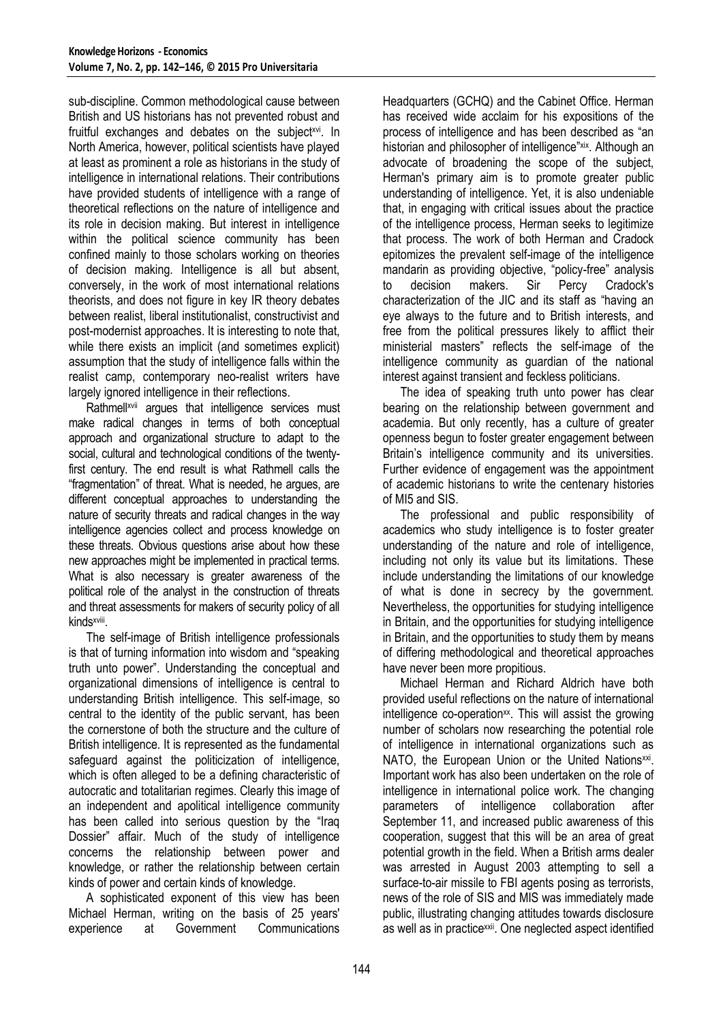sub-discipline. Common methodological cause between British and US historians has not prevented robust and fruitful exchanges and debates on the subject<sup>xvi</sup>. In North America, however, political scientists have played at least as prominent a role as historians in the study of intelligence in international relations. Their contributions have provided students of intelligence with a range of theoretical reflections on the nature of intelligence and its role in decision making. But interest in intelligence within the political science community has been confined mainly to those scholars working on theories of decision making. Intelligence is all but absent, conversely, in the work of most international relations theorists, and does not figure in key IR theory debates between realist, liberal institutionalist, constructivist and post-modernist approaches. It is interesting to note that, while there exists an implicit (and sometimes explicit) assumption that the study of intelligence falls within the realist camp, contemporary neo-realist writers have largely ignored intelligence in their reflections.

Rathmellxvii argues that intelligence services must make radical changes in terms of both conceptual approach and organizational structure to adapt to the social, cultural and technological conditions of the twentyfirst century. The end result is what Rathmell calls the "fragmentation" of threat. What is needed, he argues, are different conceptual approaches to understanding the nature of security threats and radical changes in the way intelligence agencies collect and process knowledge on these threats. Obvious questions arise about how these new approaches might be implemented in practical terms. What is also necessary is greater awareness of the political role of the analyst in the construction of threats and threat assessments for makers of security policy of all kinds<sup>xviii</sup>.

The self-image of British intelligence professionals is that of turning information into wisdom and "speaking truth unto power". Understanding the conceptual and organizational dimensions of intelligence is central to understanding British intelligence. This self-image, so central to the identity of the public servant, has been the cornerstone of both the structure and the culture of British intelligence. It is represented as the fundamental safeguard against the politicization of intelligence, which is often alleged to be a defining characteristic of autocratic and totalitarian regimes. Clearly this image of an independent and apolitical intelligence community has been called into serious question by the "Iraq Dossier" affair. Much of the study of intelligence concerns the relationship between power and knowledge, or rather the relationship between certain kinds of power and certain kinds of knowledge.

A sophisticated exponent of this view has been Michael Herman, writing on the basis of 25 years' experience at Government Communications

Headquarters (GCHQ) and the Cabinet Office. Herman has received wide acclaim for his expositions of the process of intelligence and has been described as "an historian and philosopher of intelligence"xix. Although an advocate of broadening the scope of the subject, Herman's primary aim is to promote greater public understanding of intelligence. Yet, it is also undeniable that, in engaging with critical issues about the practice of the intelligence process, Herman seeks to legitimize that process. The work of both Herman and Cradock epitomizes the prevalent self-image of the intelligence mandarin as providing objective, "policy-free" analysis<br>to decision makers. Sir Percy Cradock's to decision makers. Sir Percy Cradock's characterization of the JIC and its staff as "having an eye always to the future and to British interests, and free from the political pressures likely to afflict their ministerial masters" reflects the self-image of the intelligence community as guardian of the national interest against transient and feckless politicians.

The idea of speaking truth unto power has clear bearing on the relationship between government and academia. But only recently, has a culture of greater openness begun to foster greater engagement between Britain's intelligence community and its universities. Further evidence of engagement was the appointment of academic historians to write the centenary histories of MI5 and SIS.

The professional and public responsibility of academics who study intelligence is to foster greater understanding of the nature and role of intelligence, including not only its value but its limitations. These include understanding the limitations of our knowledge of what is done in secrecy by the government. Nevertheless, the opportunities for studying intelligence in Britain, and the opportunities for studying intelligence in Britain, and the opportunities to study them by means of differing methodological and theoretical approaches have never been more propitious.

Michael Herman and Richard Aldrich have both provided useful reflections on the nature of international intelligence co-operation<sup>xx</sup>. This will assist the growing number of scholars now researching the potential role of intelligence in international organizations such as NATO, the European Union or the United Nations<sup>xxi</sup>. Important work has also been undertaken on the role of intelligence in international police work. The changing parameters of intelligence collaboration after September 11, and increased public awareness of this cooperation, suggest that this will be an area of great potential growth in the field. When a British arms dealer was arrested in August 2003 attempting to sell a surface-to-air missile to FBI agents posing as terrorists, news of the role of SIS and MIS was immediately made public, illustrating changing attitudes towards disclosure as well as in practicexxii. One neglected aspect identified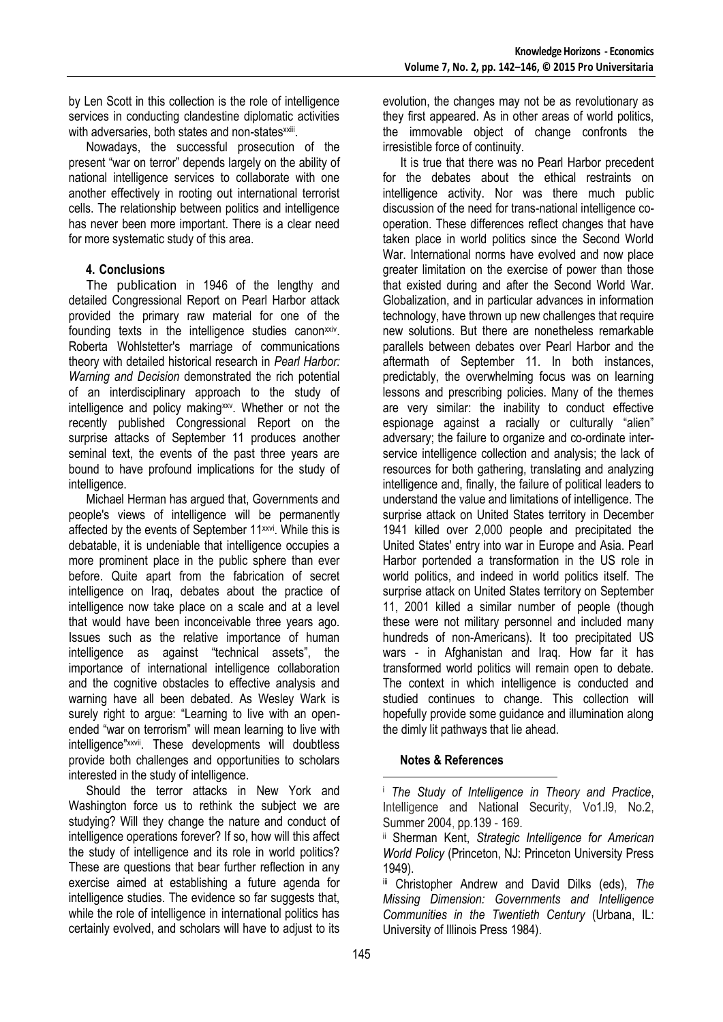by Len Scott in this collection is the role of intelligence services in conducting clandestine diplomatic activities with adversaries, both states and non-states<sup>xxiii</sup>.

Nowadays, the successful prosecution of the present "war on terror" depends largely on the ability of national intelligence services to collaborate with one another effectively in rooting out international terrorist cells. The relationship between politics and intelligence has never been more important. There is a clear need for more systematic study of this area.

# **4. Conclusions**

The publication in 1946 of the lengthy and detailed Congressional Report on Pearl Harbor attack provided the primary raw material for one of the founding texts in the intelligence studies canon<sup>xxiv</sup>. Roberta Wohlstetter's marriage of communications theory with detailed historical research in *Pearl Harbor: Warning and Decision* demonstrated the rich potential of an interdisciplinary approach to the study of intelligence and policy making<sup>xxv</sup>. Whether or not the recently published Congressional Report on the surprise attacks of September 11 produces another seminal text, the events of the past three years are bound to have profound implications for the study of intelligence.

Michael Herman has argued that, Governments and people's views of intelligence will be permanently affected by the events of September 11<sup>xxvi</sup>. While this is debatable, it is undeniable that intelligence occupies a more prominent place in the public sphere than ever before. Quite apart from the fabrication of secret intelligence on Iraq, debates about the practice of intelligence now take place on a scale and at a level that would have been inconceivable three years ago. Issues such as the relative importance of human intelligence as against "technical assets", the importance of international intelligence collaboration and the cognitive obstacles to effective analysis and warning have all been debated. As Wesley Wark is surely right to argue: "Learning to live with an openended "war on terrorism" will mean learning to live with intelligence"xxvii. These developments will doubtless provide both challenges and opportunities to scholars interested in the study of intelligence.

Should the terror attacks in New York and Washington force us to rethink the subject we are studying? Will they change the nature and conduct of intelligence operations forever? If so, how will this affect the study of intelligence and its role in world politics? These are questions that bear further reflection in any exercise aimed at establishing a future agenda for intelligence studies. The evidence so far suggests that, while the role of intelligence in international politics has certainly evolved, and scholars will have to adjust to its

evolution, the changes may not be as revolutionary as they first appeared. As in other areas of world politics, the immovable object of change confronts the irresistible force of continuity.

It is true that there was no Pearl Harbor precedent for the debates about the ethical restraints on intelligence activity. Nor was there much public discussion of the need for trans-national intelligence cooperation. These differences reflect changes that have taken place in world politics since the Second World War. International norms have evolved and now place greater limitation on the exercise of power than those that existed during and after the Second World War. Globalization, and in particular advances in information technology, have thrown up new challenges that require new solutions. But there are nonetheless remarkable parallels between debates over Pearl Harbor and the aftermath of September 11. In both instances, predictably, the overwhelming focus was on learning lessons and prescribing policies. Many of the themes are very similar: the inability to conduct effective espionage against a racially or culturally "alien" adversary; the failure to organize and co-ordinate interservice intelligence collection and analysis; the lack of resources for both gathering, translating and analyzing intelligence and, finally, the failure of political leaders to understand the value and limitations of intelligence. The surprise attack on United States territory in December 1941 killed over 2,000 people and precipitated the United States' entry into war in Europe and Asia. Pearl Harbor portended a transformation in the US role in world politics, and indeed in world politics itself. The surprise attack on United States territory on September 11, 2001 killed a similar number of people (though these were not military personnel and included many hundreds of non-Americans). It too precipitated US wars - in Afghanistan and Iraq. How far it has transformed world politics will remain open to debate. The context in which intelligence is conducted and studied continues to change. This collection will hopefully provide some guidance and illumination along the dimly lit pathways that lie ahead.

## **Notes & References**

<sup>&</sup>lt;u>.</u> <sup>i</sup> *The Study of Intelligence in Theory and Practice*, Intelligence and National Security, Vo1.l9, No.2, Summer 2004, pp.139 - 169.

ii Sherman Kent, *Strategic Intelligence for American World Policy* (Princeton, NJ: Princeton University Press 1949).

iii Christopher Andrew and David Dilks (eds), *The Missing Dimension: Governments and Intelligence Communities in the Twentieth Century* (Urbana, IL: University of Illinois Press 1984).